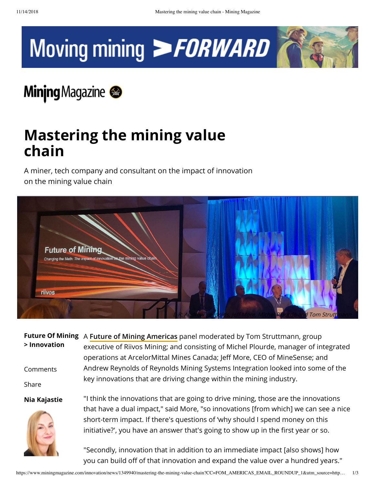



## **Minjng** Magazine

## **Mastering the mining value chain**

A miner, tech company and consultant on the impact of innovation on the mining value chain



|              | Future Of Mining A Future of Mining Americas panel moderated by Tom Struttmann, group                                                                                     |
|--------------|---------------------------------------------------------------------------------------------------------------------------------------------------------------------------|
| > Innovation | executive of Riivos Mining; and consisting of Michel Plourde, manager of integrated                                                                                       |
|              | operations at ArcelorMittal Mines Canada; Jeff More, CEO of MineSense; and                                                                                                |
| Comments     | Andrew Reynolds of Reynolds Mining Systems Integration looked into some of the                                                                                            |
| Share        | key innovations that are driving change within the mining industry.                                                                                                       |
| Nia Kajastie | "I think the innovations that are going to drive mining, those are the innovations<br>that have a dual impact," said More, "so innovations [from which] we can see a nice |
|              | short-term impact. If there's questions of 'why should I spend money on this                                                                                              |
|              | initiative?', you have an answer that's going to show up in the first year or so.                                                                                         |
|              | "Secondly, innovation that in addition to an immediate impact [also shows] how                                                                                            |

you can build off of that innovation and expand the value over a hundred years."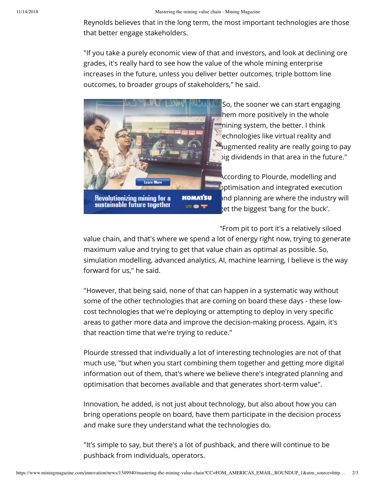Reynolds believes that in the long term, the most important technologies are those that better engage stakeholders.

"If you take a purely economic view of that and investors, and look at declining ore grades, it's really hard to see how the value of the whole mining enterprise increases in the future, unless you deliver better outcomes, triple bottom line outcomes, to broader groups of stakeholders," he said.



Revolutionizing mining for a<br>sustainable future together

So, the sooner we can start engaging hem more positively in the whole **mining system, the better.** I think echnologies like virtual reality and  $\blacksquare$  augmented reality are really going to pay big dividends in that area in the future."

According to Plourde, modelling and optimisation and integrated execution and planning are where the industry will get the biggest 'bang for the buck'.

"From pit to port it's a relatively siloed value chain, and that's where we spend a lot of energy right now, trying to generate maximum value and trying to get that value chain as optimal as possible. So, simulation modelling, advanced analytics, AI, machine learning, I believe is the way forward for us," he said.

"However, that being said, none of that can happen in a systematic way without some of the other technologies that are coming on board these days - these lowcost technologies that we're deploying or attempting to deploy in very specific areas to gather more data and improve the decision-making process. Again, it's that reaction time that we're trying to reduce."

Plourde stressed that individually a lot of interesting technologies are not of that much use, "but when you start combining them together and getting more digital information out of them, that's where we believe there's integrated planning and optimisation that becomes available and that generates short-term value".

Innovation, he added, is not just about technology, but also about how you can bring operations people on board, have them participate in the decision process and make sure they understand what the technologies do.

"It's simple to say, but there's a lot of pushback, and there will continue to be pushback from individuals, operators.